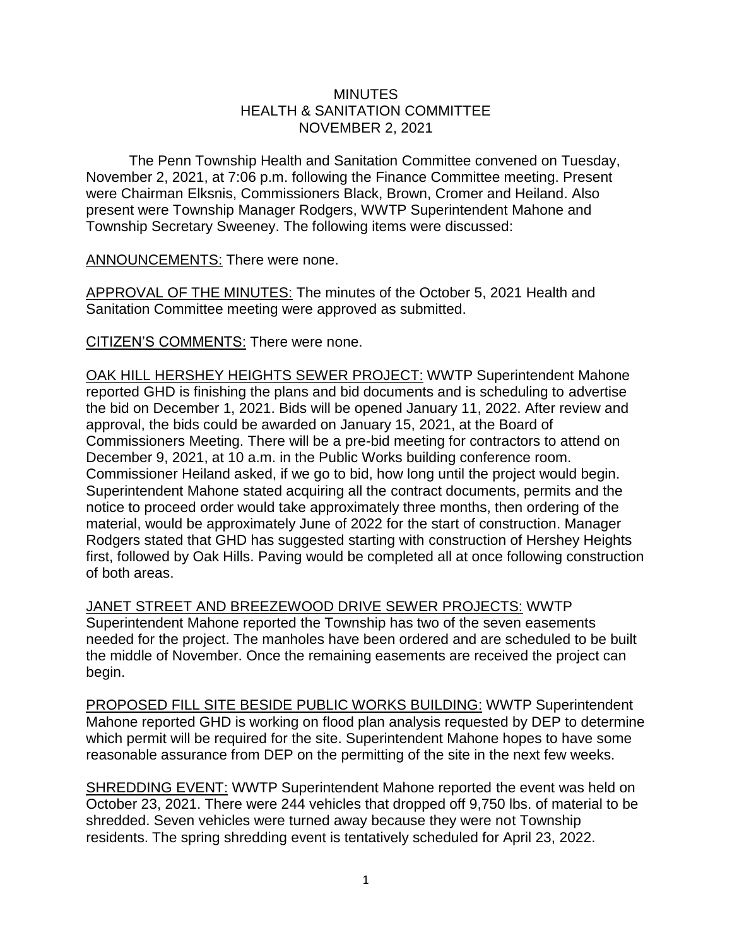## **MINUTES** HEALTH & SANITATION COMMITTEE NOVEMBER 2, 2021

The Penn Township Health and Sanitation Committee convened on Tuesday, November 2, 2021, at 7:06 p.m. following the Finance Committee meeting. Present were Chairman Elksnis, Commissioners Black, Brown, Cromer and Heiland. Also present were Township Manager Rodgers, WWTP Superintendent Mahone and Township Secretary Sweeney. The following items were discussed:

ANNOUNCEMENTS: There were none.

APPROVAL OF THE MINUTES: The minutes of the October 5, 2021 Health and Sanitation Committee meeting were approved as submitted.

CITIZEN'S COMMENTS: There were none.

OAK HILL HERSHEY HEIGHTS SEWER PROJECT: WWTP Superintendent Mahone reported GHD is finishing the plans and bid documents and is scheduling to advertise the bid on December 1, 2021. Bids will be opened January 11, 2022. After review and approval, the bids could be awarded on January 15, 2021, at the Board of Commissioners Meeting. There will be a pre-bid meeting for contractors to attend on December 9, 2021, at 10 a.m. in the Public Works building conference room. Commissioner Heiland asked, if we go to bid, how long until the project would begin. Superintendent Mahone stated acquiring all the contract documents, permits and the notice to proceed order would take approximately three months, then ordering of the material, would be approximately June of 2022 for the start of construction. Manager Rodgers stated that GHD has suggested starting with construction of Hershey Heights first, followed by Oak Hills. Paving would be completed all at once following construction of both areas.

JANET STREET AND BREEZEWOOD DRIVE SEWER PROJECTS: WWTP Superintendent Mahone reported the Township has two of the seven easements needed for the project. The manholes have been ordered and are scheduled to be built the middle of November. Once the remaining easements are received the project can begin.

PROPOSED FILL SITE BESIDE PUBLIC WORKS BUILDING: WWTP Superintendent Mahone reported GHD is working on flood plan analysis requested by DEP to determine which permit will be required for the site. Superintendent Mahone hopes to have some reasonable assurance from DEP on the permitting of the site in the next few weeks.

SHREDDING EVENT: WWTP Superintendent Mahone reported the event was held on October 23, 2021. There were 244 vehicles that dropped off 9,750 lbs. of material to be shredded. Seven vehicles were turned away because they were not Township residents. The spring shredding event is tentatively scheduled for April 23, 2022.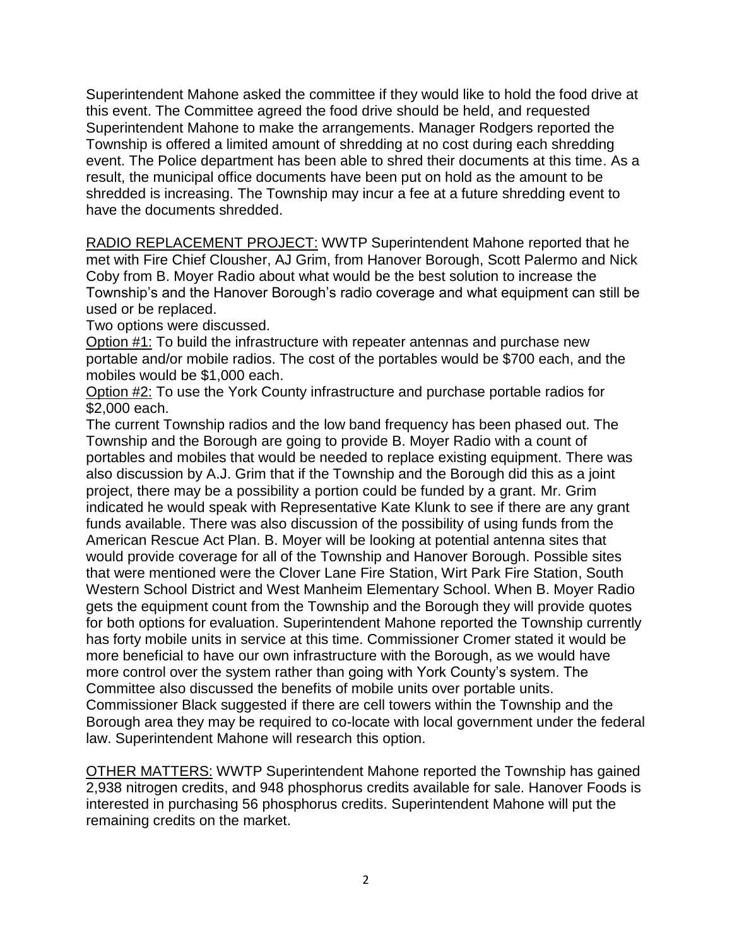Superintendent Mahone asked the committee if they would like to hold the food drive at this event. The Committee agreed the food drive should be held, and requested Superintendent Mahone to make the arrangements. Manager Rodgers reported the Township is offered a limited amount of shredding at no cost during each shredding event. The Police department has been able to shred their documents at this time. As a result, the municipal office documents have been put on hold as the amount to be shredded is increasing. The Township may incur a fee at a future shredding event to have the documents shredded.

RADIO REPLACEMENT PROJECT: WWTP Superintendent Mahone reported that he met with Fire Chief Clousher, AJ Grim, from Hanover Borough, Scott Palermo and Nick Coby from B. Moyer Radio about what would be the best solution to increase the Township's and the Hanover Borough's radio coverage and what equipment can still be used or be replaced.

Two options were discussed.

Option #1: To build the infrastructure with repeater antennas and purchase new portable and/or mobile radios. The cost of the portables would be \$700 each, and the mobiles would be \$1,000 each.

Option #2: To use the York County infrastructure and purchase portable radios for \$2,000 each.

The current Township radios and the low band frequency has been phased out. The Township and the Borough are going to provide B. Moyer Radio with a count of portables and mobiles that would be needed to replace existing equipment. There was also discussion by A.J. Grim that if the Township and the Borough did this as a joint project, there may be a possibility a portion could be funded by a grant. Mr. Grim indicated he would speak with Representative Kate Klunk to see if there are any grant funds available. There was also discussion of the possibility of using funds from the American Rescue Act Plan. B. Moyer will be looking at potential antenna sites that would provide coverage for all of the Township and Hanover Borough. Possible sites that were mentioned were the Clover Lane Fire Station, Wirt Park Fire Station, South Western School District and West Manheim Elementary School. When B. Moyer Radio gets the equipment count from the Township and the Borough they will provide quotes for both options for evaluation. Superintendent Mahone reported the Township currently has forty mobile units in service at this time. Commissioner Cromer stated it would be more beneficial to have our own infrastructure with the Borough, as we would have more control over the system rather than going with York County's system. The Committee also discussed the benefits of mobile units over portable units. Commissioner Black suggested if there are cell towers within the Township and the Borough area they may be required to co-locate with local government under the federal law. Superintendent Mahone will research this option.

OTHER MATTERS: WWTP Superintendent Mahone reported the Township has gained 2,938 nitrogen credits, and 948 phosphorus credits available for sale. Hanover Foods is interested in purchasing 56 phosphorus credits. Superintendent Mahone will put the remaining credits on the market.